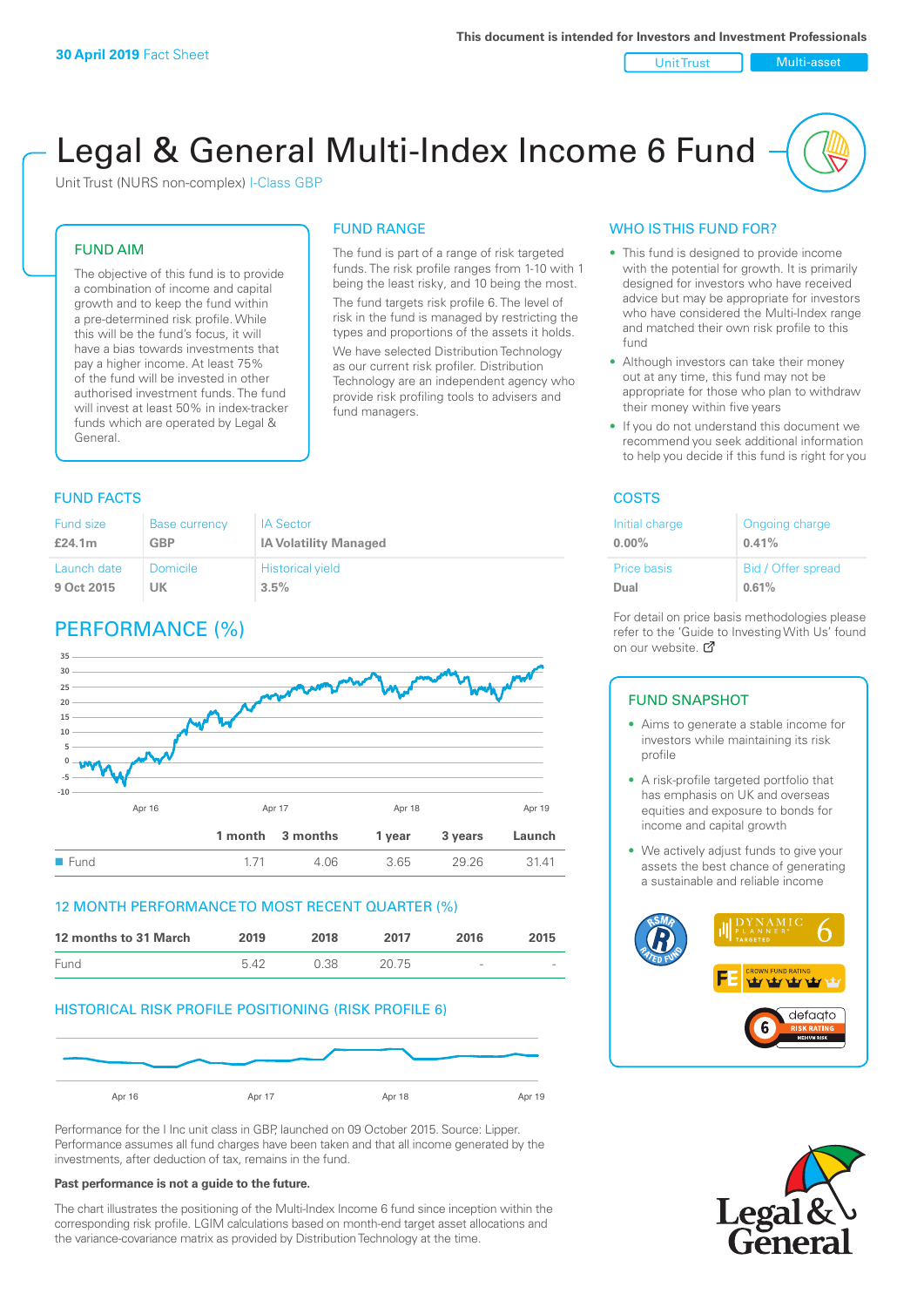Unit Trust Nulti-asset

# Legal & General Multi-Index Income 6 Fund

Unit Trust (NURS non-complex) I-Class GBP

#### FUND AIM

The objective of this fund is to provide a combination of income and capital growth and to keep the fund within a pre-determined risk profile. While this will be the fund's focus, it will have a bias towards investments that pay a higher income. At least 75% of the fund will be invested in other authorised investment funds. The fund will invest at least 50% in index-tracker funds which are operated by Legal & General.

## FUND RANGE

The fund is part of a range of risk targeted funds. The risk profile ranges from 1-10 with 1 being the least risky, and 10 being the most. The fund targets risk profile 6. The level of risk in the fund is managed by restricting the

types and proportions of the assets it holds. We have selected Distribution Technology as our current risk profiler. Distribution Technology are an independent agency who provide risk profiling tools to advisers and fund managers.

#### **FUND FACTS** COSTS

| Fund size   | <b>Base currency</b> | <b>IA Sector</b>             |
|-------------|----------------------|------------------------------|
| £24.1m      | <b>GBP</b>           | <b>IA Volatility Managed</b> |
| Launch date | Domicile             | <b>Historical yield</b>      |
| 9 Oct 2015  | UK                   | 3.5%                         |

### PERFORMANCE (%)



#### 12 MONTH PERFORMANCE TO MOST RECENT QUARTER (%)



#### HISTORICAL RISK PROFILE POSITIONING (RISK PROFILE 6)



Performance for the I Inc unit class in GBP, launched on 09 October 2015. Source: Lipper. Performance assumes all fund charges have been taken and that all income generated by the investments, after deduction of tax, remains in the fund.

#### **Past performance is not a guide to the future.**

The chart illustrates the positioning of the Multi-Index Income 6 fund since inception within the corresponding risk profile. LGIM calculations based on month-end target asset allocations and the variance-covariance matrix as provided by Distribution Technology at the time.

#### WHO IS THIS FUND FOR?

- This fund is designed to provide income with the potential for growth. It is primarily designed for investors who have received advice but may be appropriate for investors who have considered the Multi-Index range and matched their own risk profile to this fund
- Although investors can take their money out at any time, this fund may not be appropriate for those who plan to withdraw their money within five years
- If you do not understand this document we recommend you seek additional information to help you decide if this fund is right for you

| Initial charge     | Ongoing charge     |
|--------------------|--------------------|
| $0.00\%$           | 0.41%              |
| <b>Price basis</b> | Bid / Offer spread |
| Dual               | 0.61%              |

For detail on price basis methodologies please refer to the 'Gu[ide t](http://www.legalandgeneral.com/guide)o Investing With Us' found on our website. Ø

#### FUND SNAPSHOT

- Aims to generate a stable income for investors while maintaining its risk profile
- A risk-profile targeted portfolio that has emphasis on UK and overseas equities and exposure to bonds for income and capital growth
- We actively adjust funds to give your assets the best chance of generating a sustainable and reliable income



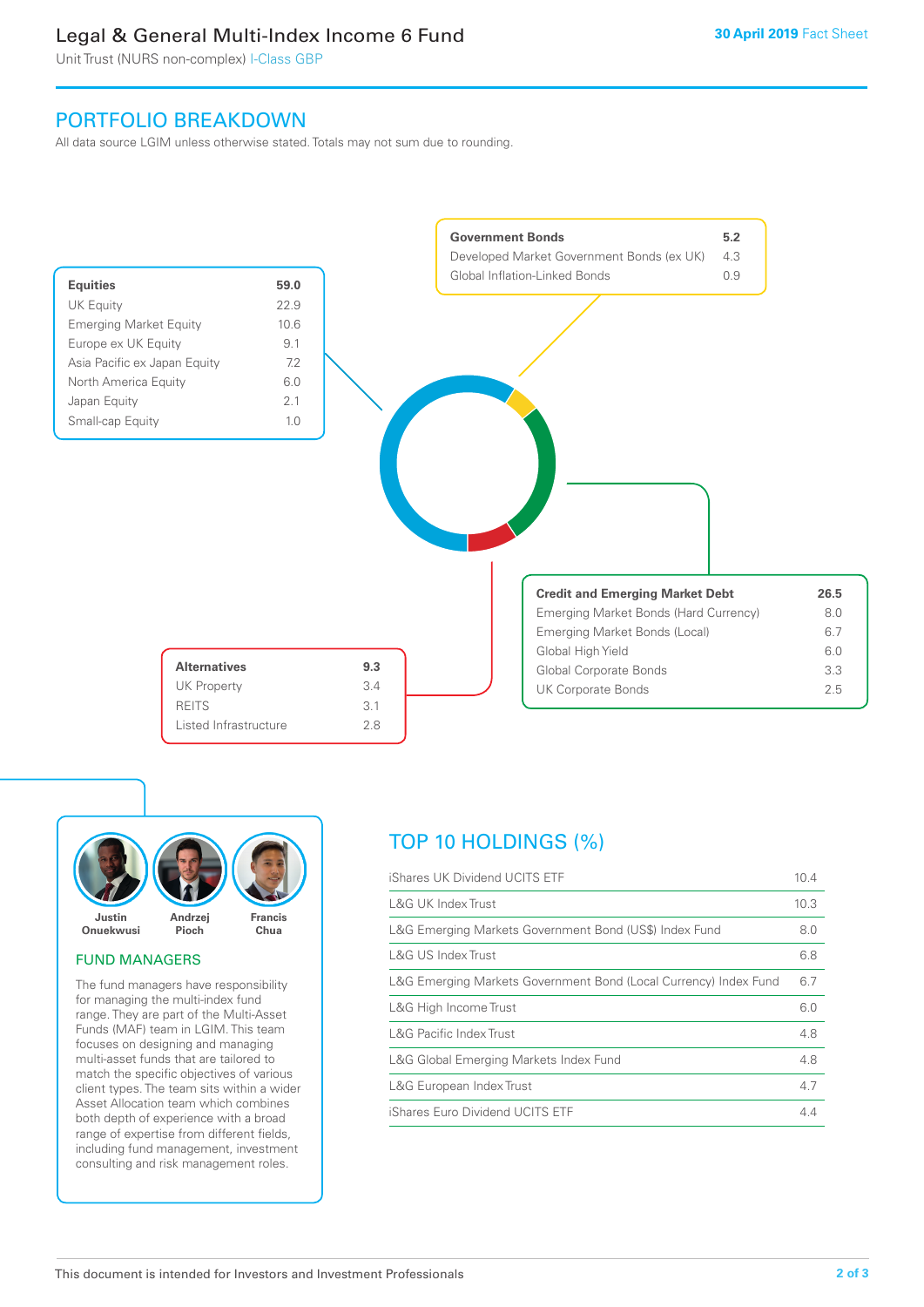### Legal & General Multi-Index Income 6 Fund

Unit Trust (NURS non-complex) I-Class GBP

### PORTFOLIO BREAKDOWN

All data source LGIM unless otherwise stated. Totals may not sum due to rounding.





#### FUND MANAGERS

The fund managers have responsibility for managing the multi-index fund range. They are part of the Multi-Asset Funds (MAF) team in LGIM. This team focuses on designing and managing multi-asset funds that are tailored to match the specific objectives of various client types. The team sits within a wider Asset Allocation team which combines both depth of experience with a broad range of expertise from different fields, including fund management, investment consulting and risk management roles.

### TOP 10 HOLDINGS (%)

| iShares UK Dividend UCITS ETF                                    | 10.4 |
|------------------------------------------------------------------|------|
| <b>L&amp;G UK Index Trust</b>                                    | 10.3 |
| L&G Emerging Markets Government Bond (US\$) Index Fund           | 8.0  |
| L&G US Index Trust                                               | 6.8  |
| L&G Emerging Markets Government Bond (Local Currency) Index Fund | 6.7  |
| L&G High Income Trust                                            | 6.0  |
| <b>L&amp;G Pacific Index Trust</b>                               | 4.8  |
| L&G Global Emerging Markets Index Fund                           | 4.8  |
| L&G European Index Trust                                         | 4.7  |
| iShares Euro Dividend UCITS ETF                                  | 44   |